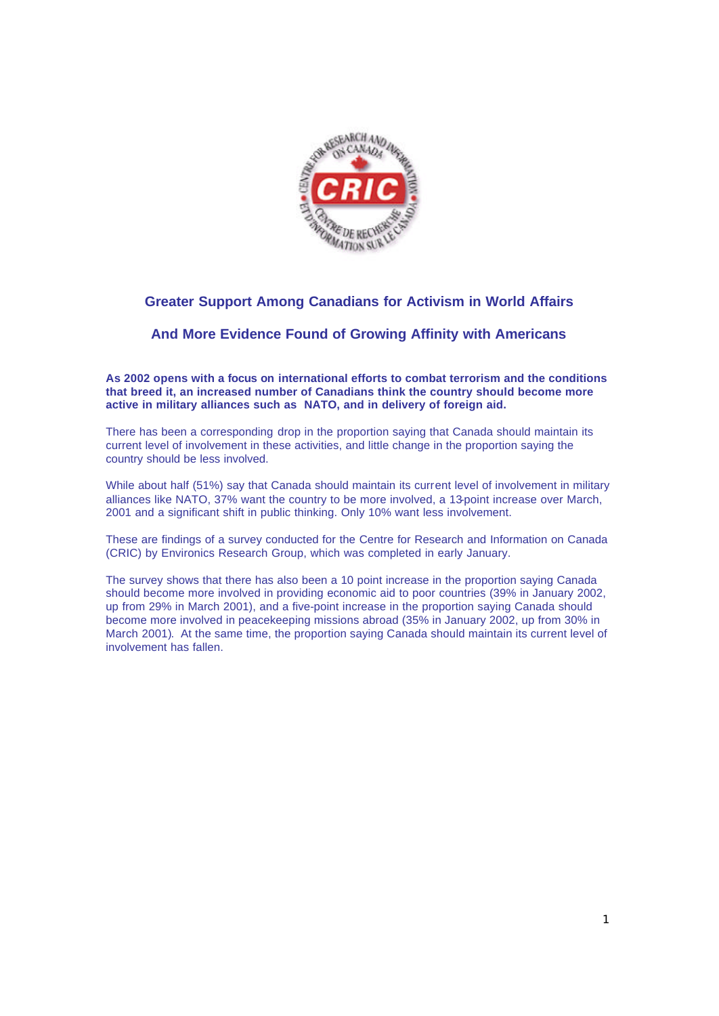

# **Greater Support Among Canadians for Activism in World Affairs**

## **And More Evidence Found of Growing Affinity with Americans**

**As 2002 opens with a focus on international efforts to combat terrorism and the conditions that breed it, an increased number of Canadians think the country should become more active in military alliances such as NATO, and in delivery of foreign aid.** 

There has been a corresponding drop in the proportion saying that Canada should maintain its current level of involvement in these activities, and little change in the proportion saying the country should be less involved.

While about half (51%) say that Canada should maintain its current level of involvement in military alliances like NATO, 37% want the country to be more involved, a 13-point increase over March, 2001 and a significant shift in public thinking. Only 10% want less involvement.

These are findings of a survey conducted for the Centre for Research and Information on Canada (CRIC) by Environics Research Group, which was completed in early January.

The survey shows that there has also been a 10 point increase in the proportion saying Canada should become more involved in providing economic aid to poor countries (39% in January 2002, up from 29% in March 2001), and a five-point increase in the proportion saying Canada should become more involved in peacekeeping missions abroad (35% in January 2002, up from 30% in March 2001). At the same time, the proportion saying Canada should maintain its current level of involvement has fallen.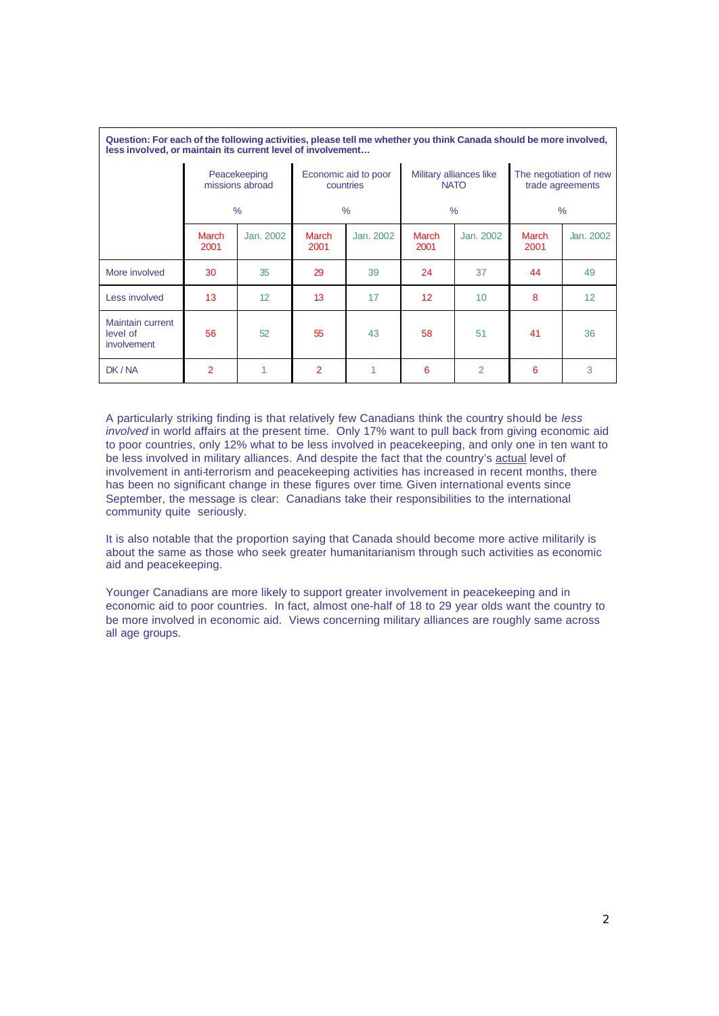| less involved, or maintain its current level of involvement |                                                  |           |                                                    |           |                                                         |                 |                                                             |                  |
|-------------------------------------------------------------|--------------------------------------------------|-----------|----------------------------------------------------|-----------|---------------------------------------------------------|-----------------|-------------------------------------------------------------|------------------|
|                                                             | Peacekeeping<br>missions abroad<br>$\frac{9}{6}$ |           | Economic aid to poor<br>countries<br>$\frac{9}{6}$ |           | Military alliances like<br><b>NATO</b><br>$\frac{0}{0}$ |                 | The negotiation of new<br>trade agreements<br>$\frac{0}{0}$ |                  |
|                                                             |                                                  |           |                                                    |           |                                                         |                 |                                                             |                  |
|                                                             | March<br>2001                                    | Jan. 2002 | <b>March</b><br>2001                               | Jan. 2002 | <b>March</b><br>2001                                    | Jan. 2002       | <b>March</b><br>2001                                        | <b>Jan. 2002</b> |
| More involved                                               | 30                                               | 35        | 29                                                 | 39        | 24                                                      | 37              | 44                                                          | 49               |
| Less involved                                               | 13                                               | 12        | 13                                                 | 17        | 12 <sup>°</sup>                                         | 10 <sup>°</sup> | 8                                                           | 12               |
| <b>Maintain current</b><br>level of<br><i>involvement</i>   | 56                                               | 52        | 55                                                 | 43        | 58                                                      | 51              | 41                                                          | 36               |
| DK/NA                                                       | $\overline{2}$                                   | 1         | $\overline{2}$                                     | 1         | 6                                                       | $\overline{2}$  | 6                                                           | 3                |

**Question: For each of the following activities, please tell me whether you think Canada should be more involved,** 

A particularly striking finding is that relatively few Canadians think the country should be *less involved* in world affairs at the present time. Only 17% want to pull back from giving economic aid to poor countries, only 12% what to be less involved in peacekeeping, and only one in ten want to be less involved in military alliances. And despite the fact that the country's actual level of involvement in anti-terrorism and peacekeeping activities has increased in recent months, there has been no significant change in these figures over time*.* Given international events since September, the message is clear: Canadians take their responsibilities to the international community quite seriously.

It is also notable that the proportion saying that Canada should become more active militarily is about the same as those who seek greater humanitarianism through such activities as economic aid and peacekeeping.

Younger Canadians are more likely to support greater involvement in peacekeeping and in economic aid to poor countries. In fact, almost one-half of 18 to 29 year olds want the country to be more involved in economic aid. Views concerning military alliances are roughly same across all age groups.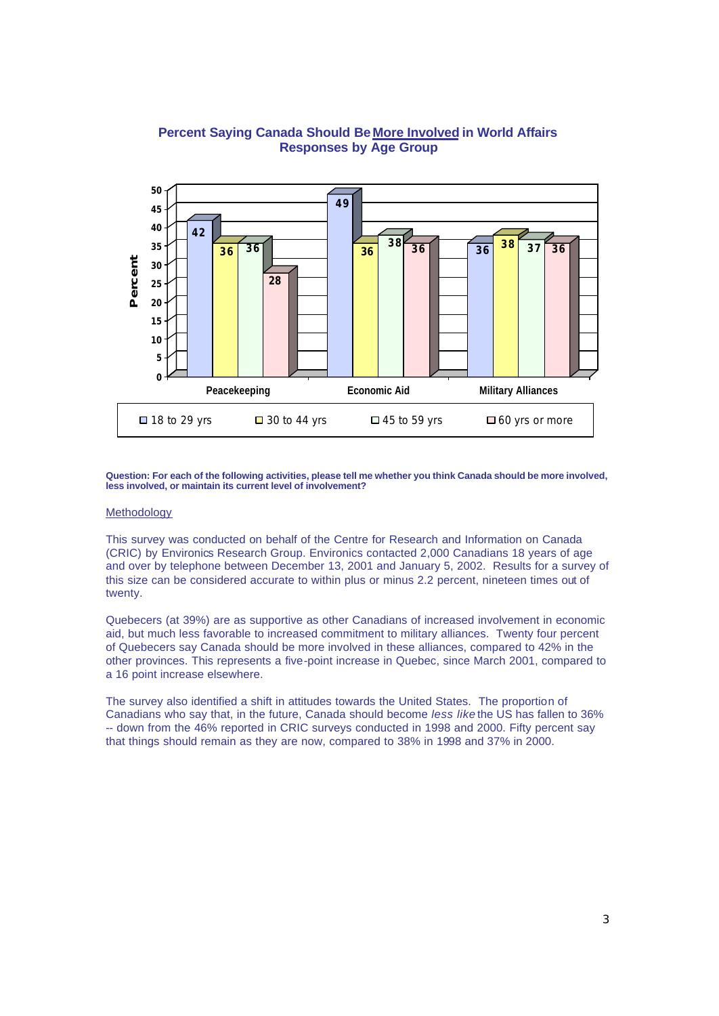

### **Percent Saying Canada Should Be More Involved in World Affairs Responses by Age Group**

**Question: For each of the following activities, please tell me whether you think Canada should be more involved, less involved, or maintain its current level of involvement?**

#### **Methodology**

This survey was conducted on behalf of the Centre for Research and Information on Canada (CRIC) by Environics Research Group. Environics contacted 2,000 Canadians 18 years of age and over by telephone between December 13, 2001 and January 5, 2002. Results for a survey of this size can be considered accurate to within plus or minus 2.2 percent, nineteen times out of twenty.

Quebecers (at 39%) are as supportive as other Canadians of increased involvement in economic aid, but much less favorable to increased commitment to military alliances. Twenty four percent of Quebecers say Canada should be more involved in these alliances, compared to 42% in the other provinces. This represents a five-point increase in Quebec, since March 2001, compared to a 16 point increase elsewhere.

The survey also identified a shift in attitudes towards the United States. The proportion of Canadians who say that, in the future, Canada should become *less like* the US has fallen to 36% -- down from the 46% reported in CRIC surveys conducted in 1998 and 2000. Fifty percent say that things should remain as they are now, compared to 38% in 1998 and 37% in 2000.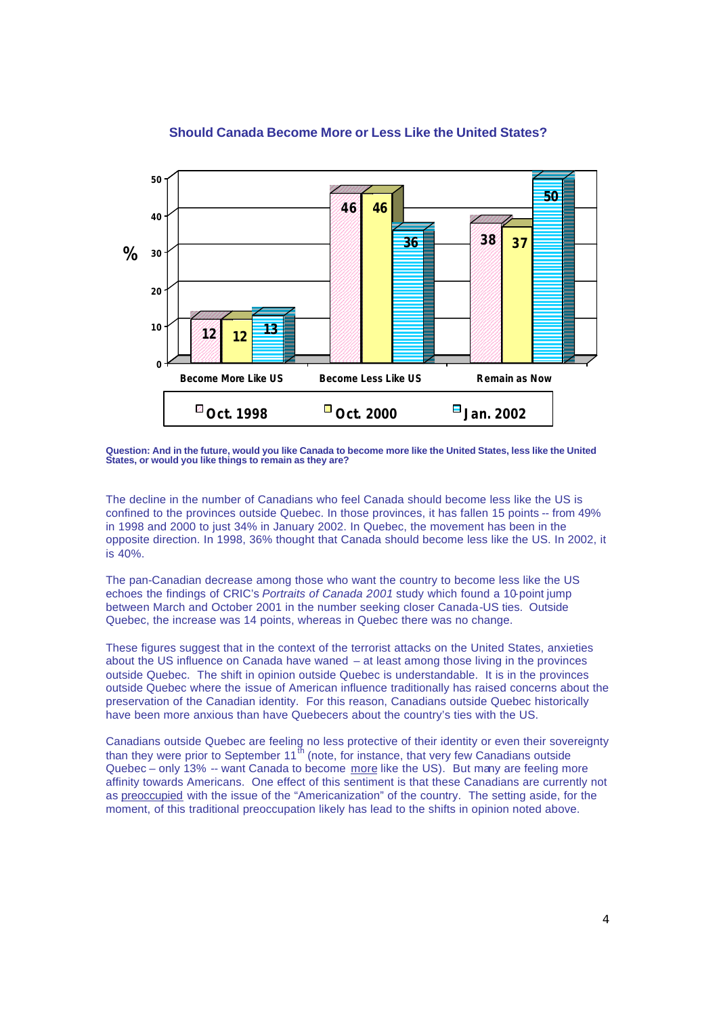

#### **Should Canada Become More or Less Like the United States?**

**Question: And in the future, would you like Canada to become more like the United States, less like the United States, or would you like things to remain as they are?**

The decline in the number of Canadians who feel Canada should become less like the US is confined to the provinces outside Quebec. In those provinces, it has fallen 15 points -- from 49% in 1998 and 2000 to just 34% in January 2002. In Quebec, the movement has been in the opposite direction. In 1998, 36% thought that Canada should become less like the US. In 2002, it is 40%.

The pan-Canadian decrease among those who want the country to become less like the US echoes the findings of CRIC's *Portraits of Canada 2001* study which found a 10-point jump between March and October 2001 in the number seeking closer Canada-US ties. Outside Quebec, the increase was 14 points, whereas in Quebec there was no change.

These figures suggest that in the context of the terrorist attacks on the United States, anxieties about the US influence on Canada have waned – at least among those living in the provinces outside Quebec. The shift in opinion outside Quebec is understandable. It is in the provinces outside Quebec where the issue of American influence traditionally has raised concerns about the preservation of the Canadian identity. For this reason, Canadians outside Quebec historically have been more anxious than have Quebecers about the country's ties with the US.

Canadians outside Quebec are feeling no less protective of their identity or even their sovereignty than they were prior to September 11<sup>th</sup> (note, for instance, that very few Canadians outside Quebec – only 13% -- want Canada to become more like the US). But many are feeling more affinity towards Americans. One effect of this sentiment is that these Canadians are currently not as preoccupied with the issue of the "Americanization" of the country. The setting aside, for the moment, of this traditional preoccupation likely has lead to the shifts in opinion noted above.